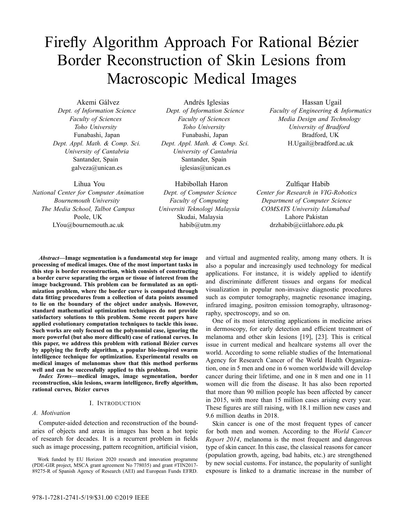# Firefly Algorithm Approach For Rational Bézier Border Reconstruction of Skin Lesions from Macroscopic Medical Images

Akemi Gálvez *Dept. of Information Science Faculty of Sciences Toho University* Funabashi, Japan *Dept. Appl. Math. & Comp. Sci. University of Cantabria* Santander, Spain galveza@unican.es

Lihua You *National Center for Computer Animation Bournemouth University The Media School, Talbot Campus* Poole, UK LYou@bournemouth.ac.uk

Andrés Iglesias *Dept. of Information Science Faculty of Sciences Toho University* Funabashi, Japan *Dept. Appl. Math. & Comp. Sci. University of Cantabria* Santander, Spain iglesias@unican.es

Habibollah Haron *Dept. of Computer Science Faculty of Computing Universiti Teknologi Malaysia* Skudai, Malaysia habib@utm.my

Hassan Ugail *Faculty of Engineering & Informatics Media Design and Technology University of Bradford* Bradford, UK H.Ugail@bradford.ac.uk

Zulfiqar Habib *Center for Research in VIG-Robotics Department of Computer Science COMSATS University Islamabad* Lahore Pakistan drzhabib@ciitlahore.edu.pk

*Abstract***—Image segmentation is a fundamental step for image processing of medical images. One of the most important tasks in this step is border reconstruction, which consists of constructing a border curve separating the organ or tissue of interest from the image background. This problem can be formulated as an optimization problem, where the border curve is computed through data fitting procedures from a collection of data points assumed to lie on the boundary of the object under analysis. However, standard mathematical optimization techniques do not provide satisfactory solutions to this problem. Some recent papers have applied evolutionary computation techniques to tackle this issue. Such works are only focused on the polynomial case, ignoring the more powerful (but also more difficult) case of rational curves. In this paper, we address this problem with rational Bezier curves ´ by applying the firefly algorithm, a popular bio-inspired swarm intelligence technique for optimization. Experimental results on medical images of melanomas show that this method performs well and can be successfully applied to this problem.**

*Index Terms***—medical images, image segmentation, border reconstruction, skin lesions, swarm intelligence, firefly algorithm, rational curves, Bezier curves ´**

# I. INTRODUCTION

### *A. Motivation*

Computer-aided detection and reconstruction of the boundaries of objects and areas in images has been a hot topic of research for decades. It is a recurrent problem in fields such as image processing, pattern recognition, artificial vision,

Work funded by EU Horizon 2020 research and innovation programme (PDE-GIR project, MSCA grant agreement No 778035) and grant #TIN2017- 89275-R of Spanish Agency of Research (AEI) and European Funds EFRD.

and virtual and augmented reality, among many others. It is also a popular and increasingly used technology for medical applications. For instance, it is widely applied to identify and discriminate different tissues and organs for medical visualization in popular non-invasive diagnostic procedures such as computer tomography, magnetic resonance imaging, infrared imaging, positron emission tomography, ultrasonography, spectroscopy, and so on.

One of its most interesting applications in medicine arises in dermoscopy, for early detection and efficient treatment of melanoma and other skin lesions [19], [23]. This is critical issue in current medical and healtcare systems all over the world. According to some reliable studies of the International Agency for Research Cancer of the World Health Organization, one in 5 men and one in 6 women worldwide will develop cancer during their lifetime, and one in 8 men and one in 11 women will die from the disease. It has also been reported that more than 90 million people has been affected by cancer in 2015, with more than 15 million cases arising every year. These figures are still raising, with 18.1 million new cases and 9.6 million deaths in 2018.

Skin cancer is one of the most frequent types of cancer for both men and women. According to the *World Cancer Report 2014*, melanoma is the most frequent and dangerous type of skin cancer. In this case, the classical reasons for cancer (population growth, ageing, bad habits, etc.) are strengthened by new social customs. For instance, the popularity of sunlight exposure is linked to a dramatic increase in the number of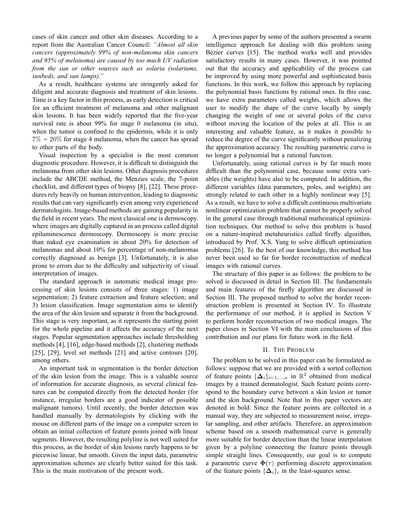cases of skin cancer and other skin diseases. According to a report from the Australian Cancer Council: *"Almost all skin cancers (approximately 99% of non-melanoma skin cancers and 95% of melanoma) are caused by too much UV radiation from the sun or other sources such as solaria (solariums, sunbeds, and sun lamps)."*

As a result, healthcare systems are stringently asked for diligent and accurate diagnosis and treatment of skin lesions. Time is a key factor in this process, as early detection is critical for an efficient treatment of melanoma and other malignant skin lesions. It has been widely reported that the five-year survival rate is about 99% for stage 0 melanoma (in situ), when the tumor is confined to the epidermis, while it is only  $7\% \sim 20\%$  for stage 4 melanoma, when the cancer has spread to other parts of the body.

Visual inspection by a specialist is the most common diagnostic procedure. However, it is difficult to distinguish the melanoma from other skin lesions. Other diagnosis procedures include the ABCDE method, the Menzies scale, the 7-point checklist, and different types of biopsy [8], [22]. These procedures rely heavily on human intervention, leading to diagnostic results that can vary significantly even among very experienced dermatologists. Image-based methods are gaining popularity in the field in recent years. The most classical one is dermoscopy. where images are digitally captured in an process called digital epiluminescence dermoscopy. Dermoscopy is more precise than naked eye examination in about 20% for detection of melanomas and about 10% for percentage of non-melanomas correctly diagnosed as benign [3]. Unfortunately, it is also prone to errors due to the difficulty and subjectivity of visual interpretation of images.

The standard approach in automatic medical image processing of skin lesions consists of three stages: 1) image segmentation; 2) feature extraction and feature selection; and 3) lesion classification. Image segmentation aims to identify the area of the skin lesion and separate it from the background. This stage is very important, as it represents the starting point for the whole pipeline and it affects the accuracy of the next stages. Popular segmentation approaches include thresholding methods [4], [16], edge-based methods [2], clustering methods [25], [29], level set methods [21] and active contours [20], among others.

An important task in segmentation is the border detection of the skin lesion from the image. This is a valuable source of information for accurate diagnosis, as several clinical features can be computed directly from the detected border (for instance, irregular borders are a good indicator of possible malignant tumors). Until recently, the border detection was handled manually by dermatologists by clicking with the mouse on different parts of the image on a computer screen to obtain an initial collection of feature points joined with linear segments. However, the resulting polyline is not well suited for this process, as the border of skin lesions rarely happens to be piecewise linear, but smooth. Given the input data, parametric approximation schemes are clearly better suited for this task. This is the main motivation of the present work.

A previous paper by some of the authors presented a swarm intelligence approach for dealing with this problem using Bézier curves [15]. The method works well and provides satisfactory results in many cases. However, it was pointed out that the accuracy and applicability of the process can be improved by using more powerful and sophisticated basis functions. In this work, we follow this approach by replacing the polynomial basis functions by rational ones. In this case, we have extra parameters called weights, which allows the user to modify the shape of the curve locally by simply changing the weight of one or several poles of the curve without moving the location of the poles at all. This is an interesting and valuable feature, as it makes it possible to reduce the degree of the curve significantly without penalizing the approximation accuracy. The resulting parametric curve is no longer a polynomial but a rational function.

Unfortunately, using rational curves is by far much more difficult than the polynomial case, because some extra variables (the weights) have also to be computed. In addition, the different variables (data parameters, poles, and weights) are strongly related to each other in a highly nonlinear way [5]. As a result, we have to solve a difficult continuous multivariate nonlinear optimization problem that cannot be properly solved in the general case through traditional mathematical optimization techniques. Our method to solve this problem is based on a nature-inspired metaheuristics called firefly algorithm, introduced by Prof. X.S. Yang to solve difficult optimization problems [26]. To the best of our knowledge, this method has never been used so far for border reconstruction of medical images with rational curves.

The structure of this paper is as follows: the problem to be solved is discussed in detail in Section III. The fundamentals and main features of the firefly algorithm are discussed in Section III. The proposed method to solve the border reconstruction problem is presented in Section IV. To illustrate the performance of our method, it is applied in Section V to perform border reconstruction of two medical images. The paper closes in Section VI with the main conclusions of this contribution and our plans for future work in the field.

#### II. THE PROBLEM

The problem to be solved in this paper can be formulated as follows: suppose that we are provided with a sorted collection of feature points  $\{\Delta_i\}_{i=1,\dots,\kappa}$  in  $\mathbb{R}^2$  obtained from medical images by a trained dermatologist. Such feature points correspond to the boundary curve between a skin lesion or tumor and the skin background. Note that in this paper vectors are denoted in bold. Since the feature points are collected in a manual way, they are subjected to measurement noise, irregular sampling, and other artifacts. Therefore, an approximation scheme based on a smooth mathematical curve is generally more suitable for border detection than the linear interpolation given by a polyline connecting the feature points through simple straight lines. Consequently, our goal is to compute a parametric curve  $\Phi(\tau)$  performing discrete approximation of the feature points  $\{\Delta_i\}_i$  in the least-squares sense.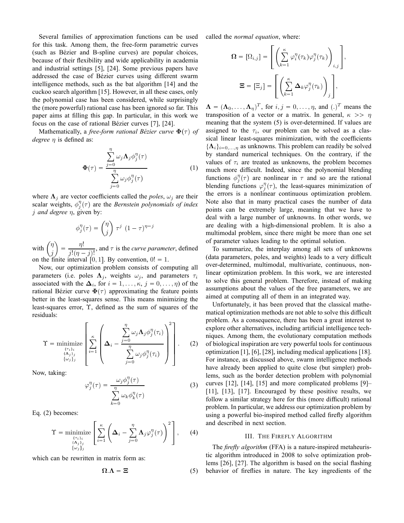Several families of approximation functions can be used for this task. Among them, the free-form parametric curves (such as Bézier and B-spline curves) are popular choices, because of their flexibility and wide applicability in academia and industrial settings [5], [24]. Some previous papers have addressed the case of Bézier curves using different swarm intelligence methods, such as the bat algorithm [14] and the cuckoo search algorithm [15]. However, in all these cases, only the polynomial case has been considered, while surprisingly the (more powerful) rational case has been ignored so far. This paper aims at filling this gap. In particular, in this work we focus on the case of rational Bézier curves [7], [24].

Mathematically, a *free-form rational Bézier curve*  $\Phi(\tau)$  *of degree* η is defined as:

$$
\Phi(\tau) = \frac{\sum_{j=0}^{\eta} \omega_j \Lambda_j \phi_j^{\eta}(\tau)}{\sum_{j=0}^{\eta} \omega_j \phi_j^{\eta}(\tau)}
$$
(1)

where  $\Lambda_j$  are vector coefficients called the *poles*,  $\omega_j$  are their scalar weights,  $\phi_j^{\eta}(\tau)$  are the *Bernstein polynomials of index* j *and degree* η, given by:

$$
\phi_j^{\eta}(\tau) = \binom{\eta}{j} \tau^j (1 - \tau)^{\eta - j}
$$

with  $\int_{0}^{\eta}$ j  $=\frac{\eta!}{\cdot\cdot\cdot\cdot}$  $\frac{\partial}{\partial j!(\eta-j)!}$ , and  $\tau$  is the *curve parameter*, defined on the finite interval [0, 1]. By convention,  $0! = 1$ .

Now, our optimization problem consists of computing all parameters (i.e. poles  $\Lambda_j$ , weights  $\omega_j$ , and parameters  $\tau_i$ associated with the  $\Delta_i$ , for  $i = 1, ..., \kappa, j = 0, ..., \eta$ ) of the rational Bézier curve  $\Phi(\tau)$  approximating the feature points better in the least-squares sense. This means minimizing the least-squares error, Υ, defined as the sum of squares of the residuals:

$$
\Upsilon = \underset{\{\alpha_j\}_j}{\text{minimize}} \left[ \sum_{\substack{\kappa \\ \{\alpha_j\}_j}}^{\kappa} \left( \Delta_i - \frac{\sum_{j=0}^{\eta} \omega_j \Lambda_j \phi_j^{\eta}(\tau_i)}{\sum_{j=0}^{\eta} \omega_j \phi_j^{\eta}(\tau_i)} \right)^2 \right].
$$
 (2)

Now, taking:

 $\sim$ 

$$
\rho_j^{\eta}(\tau) = \frac{\omega_j \phi_j^{\eta}(\tau)}{\sum_{k=0}^{\eta} \omega_k \phi_k^{\eta}(\tau)}
$$
(3)

Eq. (2) becomes:

$$
\Upsilon = \underset{\substack{\{\tau_i\}_i\\\{\Delta_j\}_j\\\{\omega_j\}_j}}{\text{minimize}} \left[ \sum_{i=1}^{\kappa} \left( \Delta_i - \sum_{j=0}^{\eta} \Lambda_j \varphi_j^{\eta}(\tau) \right)^2 \right], \quad (4)
$$

which can be rewritten in matrix form as:

\_\_

 $\overline{\mathbf{y}}$ 

$$
\Omega.\Lambda = \Xi \tag{5}
$$

\_\_

called the *normal equation*, where:

--

$$
\Omega = [\Omega_{i,j}] = \left[ \left( \sum_{k=1}^{\kappa} \varphi_i^{\eta}(\tau_k) \varphi_j^{\eta}(\tau_k) \right)_{i,j} \right],
$$
  

$$
\Xi = [\Xi_j] = \left[ \left( \sum_{k=1}^{\kappa} \Delta_k \varphi_j^{\eta}(\tau_k) \right)_j \right],
$$

-

 $\Lambda = (\Lambda_0, \ldots, \Lambda_\eta)^T$ , for  $i, j = 0, \ldots, \eta$ , and  $(.)^T$  means the transposition of a vector or a matrix. In general,  $\kappa \gg \eta$ meaning that the system (5) is over-determined. If values are assigned to the  $\tau_i$ , our problem can be solved as a classical linear least-squares minimization, with the coefficients  $\{\mathbf\Lambda_i\}_{i=0,\dots,n}$  as unknowns. This problem can readily be solved by standard numerical techniques. On the contrary, if the values of  $\tau_i$  are treated as unknowns, the problem becomes much more difficult. Indeed, since the polynomial blending functions  $\phi_j^{\eta}(\tau)$  are nonlinear in  $\tau$  and so are the rational blending functions  $\varphi_j^{\eta}(\tau)$ , the least-squares minimization of the errors is a nonlinear continuous optimization problem. Note also that in many practical cases the number of data points can be extremely large, meaning that we have to deal with a large number of unknowns. In other words, we are dealing with a high-dimensional problem. It is also a multimodal problem, since there might be more than one set of parameter values leading to the optimal solution.

To summarize, the interplay among all sets of unknowns (data parameters, poles, and weights) leads to a very difficult over-determined, multimodal, multivariate, continuous, nonlinear optimization problem. In this work, we are interested to solve this general problem. Therefore, instead of making assumptions about the values of the free parameters, we are aimed at computing all of them in an integrated way.

Unfortunately, it has been proved that the classical mathematical optimization methods are not able to solve this difficult problem. As a consequence, there has been a great interest to explore other alternatives, including artificial intelligence techniques. Among them, the evolutionary computation methods of biological inspiration are very powerful tools for continuous optimization [1], [6], [28], including medical applications [18]. For instance, as discussed above, swarm intelligence methods have already been applied to quite close (but simpler) problems, such as the border detection problem with polynomial curves [12], [14], [15] and more complicated problems [9]– [11], [13], [17]. Encouraged by these positive results, we follow a similar strategy here for this (more difficult) rational problem. In particular, we address our optimization problem by using a powerful bio-inspired method called firefly algorithm and described in next section.

#### III. THE FIREFLY ALGORITHM

The *firefly algorithm* (FFA) is a nature-inspired metaheuristic algorithm introduced in 2008 to solve optimization problems [26], [27]. The algorithm is based on the social flashing behavior of fireflies in nature. The key ingredients of the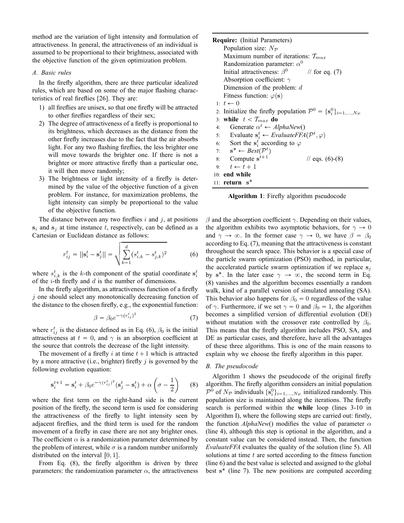method are the variation of light intensity and formulation of attractiveness. In general, the attractiveness of an individual is assumed to be proportional to their brightness, associated with the objective function of the given optimization problem.

#### *A. Basic rules*

In the firefly algorithm, there are three particular idealized rules, which are based on some of the major flashing characteristics of real fireflies [26]. They are:

- 1) all fireflies are unisex, so that one firefly will be attracted to other fireflies regardless of their sex;
- 2) The degree of attractiveness of a firefly is proportional to its brightness, which decreases as the distance from the other firefly increases due to the fact that the air absorbs light. For any two flashing fireflies, the less brighter one will move towards the brighter one. If there is not a brighter or more attractive firefly than a particular one, it will then move randomly;
- 3) The brightness or light intensity of a firefly is determined by the value of the objective function of a given problem. For instance, for maximization problems, the light intensity can simply be proportional to the value of the objective function.

The distance between any two fireflies  $i$  and  $j$ , at positions  $s_i$  and  $s_j$  at time instance t, respectively, can be defined as a Cartesian or Euclidean distance as follows:

$$
r_{ij}^t = ||\mathbf{s}_i^t - \mathbf{s}_j^t|| = \sqrt{\sum_{k=1}^d (s_{i,k}^t - s_{j,k}^t)^2}
$$
 (6)

where  $s_{i,k}^t$  is the k-th component of the spatial coordinate  $s_i^t$ of the *i*-th firefly and  $d$  is the number of dimensions.

In the firefly algorithm, as attractiveness function of a firefly  $j$  one should select any monotonically decreasing function of the distance to the chosen firefly, e.g., the exponential function:

$$
\beta = \beta_0 e^{-\gamma (r_{ij}^t)^2} \tag{7}
$$

where  $r_{ij}^t$  is the distance defined as in Eq. (6),  $\beta_0$  is the initial attractiveness at  $t = 0$ , and  $\gamma$  is an absorption coefficient at the source that controls the decrease of the light intensity.

The movement of a firefly i at time  $t + 1$  which is attracted by a more attractive (i.e., brighter) firefly  $j$  is governed by the following evolution equation:

$$
\mathbf{s}_{i}^{t+1} = \mathbf{s}_{i}^{t} + \beta_0 e^{-\gamma (r_{ij}^t)^2} (\mathbf{s}_{j}^t - \mathbf{s}_{i}^t) + \alpha \left(\sigma - \frac{1}{2}\right)
$$
 (8)

where the first term on the right-hand side is the current position of the firefly, the second term is used for considering the attractiveness of the firefly to light intensity seen by adjacent fireflies, and the third term is used for the random movement of a firefly in case there are not any brighter ones. The coefficient  $\alpha$  is a randomization parameter determined by the problem of interest, while  $\sigma$  is a random number uniformly distributed on the interval  $\lceil 0, 1 \rceil$ .

From Eq. (8), the firefly algorithm is driven by three parameters: the randomization parameter  $\alpha$ , the attractiveness

| <b>Require:</b> (Initial Parameters)                                                    |
|-----------------------------------------------------------------------------------------|
| Population size: $N_{\mathcal{P}}$                                                      |
| Maximum number of iterations: $T_{max}$                                                 |
| Randomization parameter: $\alpha^0$                                                     |
| Initial attractiveness: $\beta^0$ // for eq. (7)                                        |
| Absorption coefficient: $\gamma$                                                        |
| Dimension of the problem: $d$                                                           |
| Fitness function: $\varphi(s)$                                                          |
| 1: $t \leftarrow 0$                                                                     |
| 2. Initialize the firefly population $\mathcal{P}^0 = \{s_i^0\}_{i=1,,N_{\mathcal{P}}}$ |
| 3: while $t < T_{max}$ do                                                               |
| Generate $\alpha^t \leftarrow AlphaNew()$<br>4:                                         |
| 5: Evaluate $\mathbf{s}_i^t \leftarrow EvaluateFFA(\mathcal{P}^t, \varphi)$             |
| 6: Sort the $s_i^t$ according to $\varphi$                                              |
| 7: $\mathbf{s}^* \leftarrow Best(\mathcal{P}^t)$                                        |
| 8: Compute $s^{t+1}$<br>$\frac{1}{2}$ eqs. (6)-(8)                                      |
| 9: $t \leftarrow t + 1$                                                                 |
| $10:$ end while                                                                         |
| 11: $return s^*$                                                                        |

**Algorithm 1**: Firefly algorithm pseudocode

β and the absorption coefficient γ. Depending on their values, the algorithm exhibits two asymptotic behaviors, for  $\gamma \to 0$ and  $\gamma \to \infty$ . In the former case  $\gamma \to 0$ , we have  $\beta = \beta_0$ according to Eq. (7), meaning that the attractiveness is constant throughout the search space. This behavior is a special case of the particle swarm optimization (PSO) method, in particular, the accelerated particle swarm optimization if we replace  $s_i$ by s<sup>\*</sup>. In the later case  $\gamma \to \infty$ , the second term in Eq. (8) vanishes and the algorithm becomes essentially a random walk, kind of a parallel version of simulated annealing (SA). This behavior also happens for  $\beta_0 = 0$  regardless of the value of  $\gamma$ . Furthermore, if we set  $\gamma = 0$  and  $\beta_0 = 1$ , the algorithm becomes a simplified version of differential evolution (DE) without mutation with the crossover rate controlled by  $\beta_0$ . This means that the firefly algorithm includes PSO, SA, and DE as particular cases, and therefore, have all the advantages of these three algorithms. This is one of the main reasons to explain why we choose the firefly algorithm in this paper.

# *B. The pseudocode*

Algorithm 1 shows the pseudocode of the original firefly algorithm. The firefly algorithm considers an initial population  $\overline{P}^0$  of  $N_{\mathcal{P}}$  individuals  $\{s_i^0\}_{i=1,\dots,N_{\mathcal{P}}}$  initialized randomly. This population size is maintained along the iterations. The firefly search is performed within the **while** loop (lines 3-10 in Algorithm I), where the following steps are carried out: firstly, the function  $AlphaNew()$  modifies the value of parameter  $\alpha$ (line 4), although this step is optional in the algorithm, and a constant value can be considered instead. Then, the function *EvaluateFFA* evaluates the quality of the solution (line 5). All solutions at time  $t$  are sorted according to the fitness function (line 6) and the best value is selected and assigned to the global best s<sup>\*</sup> (line 7). The new positions are computed according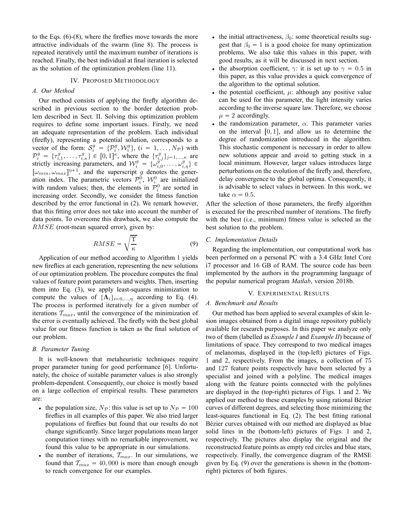to the Eqs. (6)-(8), where the fireflies move towards the more attractive individuals of the swarm (line 8). The process is repeated iteratively until the maximum number of iterations is reached. Finally, the best individual at final iteration is selected as the solution of the optimization problem (line 11).

#### IV. PROPOSED METHODOLOGY

#### *A. Our Method*

Our method consists of applying the firefly algorithm described in previous section to the border detection problem described in Sect. II. Solving this optimization problem requires to define some important issues. Firstly, we need an adequate representation of the problem. Each individual (firefly), representing a potential solution, corresponds to a vector of the form:  $S_i^g = {\mathcal{P}_i^g, \mathcal{W}_i^g}$ ,  $(i = 1, ..., N_{\mathcal{P}})$  with  $\mathcal{P}_{i}^{g} = \{\tau_{i,1}^{g}, \ldots, \tau_{i,\kappa}^{g}\}\in [0,1]^{\kappa}$ , where the  $\{\tau_{i,j}^{g}\}_{j=1,\ldots,\kappa}$  are strictly increasing parameters, and  $\mathcal{W}_i^g = \{\omega_{i,0}^{g'}$ , ...,  $\omega_{i,\eta}^g\} \in$  $[\omega_{min}, \omega_{max}]^{\eta+1}$ , and the superscript g denotes the generation index. The parametric vectors  $\mathcal{P}_i^0$ ,  $\mathcal{W}_i^0$  are initialized with random values; then, the elements in  $\mathcal{P}_i^0$  are sorted in increasing order. Secondly, we consider the fitness function described by the error functional in (2). We remark however, that this fitting error does not take into account the number of data points. To overcome this drawback, we also compute the RMSE (root-mean squared error), given by:

$$
RMSE = \sqrt{\frac{\Upsilon}{\kappa}}\tag{9}
$$

Application of our method according to Algorithm 1 yields new fireflies at each generation, representing the new solutions of our optimization problem. The procedure computes the final values of feature point parameters and weights. Then, inserting them into Eq. (3), we apply least-squares minimization to compute the values of  $\{\mathbf{\Lambda}_i\}_{i=0,\dots,\eta}$  according to Eq. (4). The process is performed iteratively for a given number of iterations  $T_{max}$ , until the convergence of the minimization of the error is eventually achieved. The firefly with the best global value for our fitness function is taken as the final solution of our problem.

#### *B. Parameter Tuning*

It is well-known that metaheuristic techniques require proper parameter tuning for good performance [6]. Unfortunately, the choice of suitable parameter values is also strongly problem-dependent. Consequently, our choice is mostly based on a large collection of empirical results. These parameters are:

- the population size,  $N_p$ : this value is set up to  $N_p = 100$ fireflies in all examples of this paper. We also tried larger populations of fireflies but found that our results do not change significantly. Since larger populations mean larger computation times with no remarkable improvement, we found this value to be appropriate in our simulations.
- the number of iterations,  $\mathcal{T}_{max}$ . In our simulations, we found that  $T_{max} = 40,000$  is more than enough enough to reach convergence for our examples.
- the initial attractiveness,  $\beta_0$ : some theoretical results suggest that  $\beta_0 = 1$  is a good choice for many optimization problems. We also take this values in this paper, with good results, as it will be discussed in next section.
- the absorption coefficient,  $\gamma$ : it is set up to  $\gamma = 0.5$  in this paper, as this value provides a quick convergence of the algorithm to the optimal solution.
- the potential coefficient,  $\mu$ : although any positive value can be used for this parameter, the light intensity varies according to the inverse square law. Therefore, we choose  $\mu = 2$  accordingly.
- the randomization parameter,  $\alpha$ . This parameter varies on the interval  $[0, 1]$ , and allow us to determine the degree of randomization introduced in the algorithm. This stochastic component is necessary in order to allow new solutions appear and avoid to getting stuck in a local minimum. However, larger values introduces large perturbations on the evolution of the firefly and, therefore, delay convergence to the global optima. Consequently, it is advisable to select values in between. In this work, we take  $\alpha = 0.5$ .

After the selection of those parameters, the firefly algorithm is executed for the prescribed number of iterations. The firefly with the best (i.e., minimum) fitness value is selected as the best solution to the problem.

## *C. Implementation Details*

Regarding the implementation, our computational work has been performed on a personal PC with a 3.4 GHz Intel Core i7 processor and 16 GB of RAM. The source code has been implemented by the authors in the programming language of the popular numerical program *Matlab*, version 2018b.

#### V. EXPERIMENTAL RESULTS

#### *A. Benchmark and Results*

Our method has been applied to several examples of skin lesion images obtained from a digital image repository publicly available for research purposes. In this paper we analyze only two of them (labelled as *Example I* and *Example II*) because of limitations of space. They correspond to two medical images of melanomas, displayed in the (top-left) pictures of Figs. 1 and 2, respectively. From the images, a collection of 75 and 127 feature points respectively have been selected by a specialist and joined with a polyline. The medical images along with the feature points connected with the polylines are displayed in the (top-right) pictures of Figs. 1 and 2. We applied our method to these examples by using rational Bézier curves of different degrees, and selecting those minimizing the least-squares functional in Eq. (2). The best fitting rational Bézier curves obtained with our method are displayed as blue solid lines in the (bottom-left) pictures of Figs. 1 and 2, respectively. The pictures also display the original and the reconstructed feature points as empty red circles and blue stars, respectively. Finally, the convergence diagram of the RMSE given by Eq. (9) over the generations is shown in the (bottomright) pictures of both figures.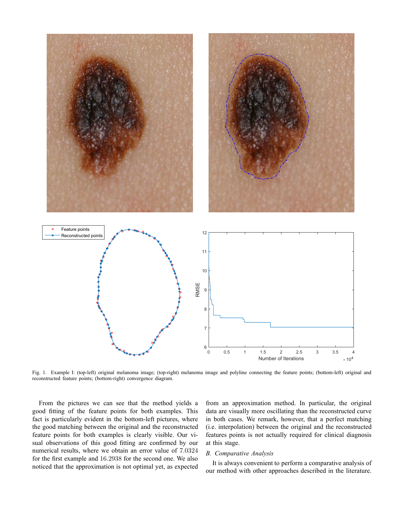

Fig. 1. Example I: (top-left) original melanoma image; (top-right) melanoma image and polyline connecting the feature points; (bottom-left) original and reconstructed feature points; (bottom-right) convergence diagram.

From the pictures we can see that the method yields a good fitting of the feature points for both examples. This fact is particularly evident in the bottom-left pictures, where the good matching between the original and the reconstructed feature points for both examples is clearly visible. Our visual observations of this good fitting are confirmed by our numerical results, where we obtain an error value of 7.0324 for the first example and 16.2938 for the second one. We also noticed that the approximation is not optimal yet, as expected from an approximation method. In particular, the original data are visually more oscillating than the reconstructed curve in both cases. We remark, however, that a perfect matching (i.e. interpolation) between the original and the reconstructed features points is not actually required for clinical diagnosis at this stage.

# *B. Comparative Analysis*

It is always convenient to perform a comparative analysis of our method with other approaches described in the literature.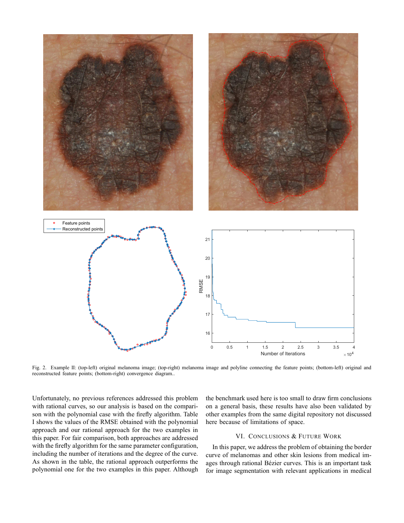

Fig. 2. Example II: (top-left) original melanoma image; (top-right) melanoma image and polyline connecting the feature points; (bottom-left) original and reconstructed feature points; (bottom-right) convergence diagram..

Unfortunately, no previous references addressed this problem with rational curves, so our analysis is based on the comparison with the polynomial case with the firefly algorithm. Table I shows the values of the RMSE obtained with the polynomial approach and our rational approach for the two examples in this paper. For fair comparison, both approaches are addressed with the firefly algorithm for the same parameter configuration, including the number of iterations and the degree of the curve. As shown in the table, the rational approach outperforms the polynomial one for the two examples in this paper. Although the benchmark used here is too small to draw firm conclusions on a general basis, these results have also been validated by other examples from the same digital repository not discussed here because of limitations of space.

# VI. CONCLUSIONS & FUTURE WORK

In this paper, we address the problem of obtaining the border curve of melanomas and other skin lesions from medical images through rational Bézier curves. This is an important task for image segmentation with relevant applications in medical